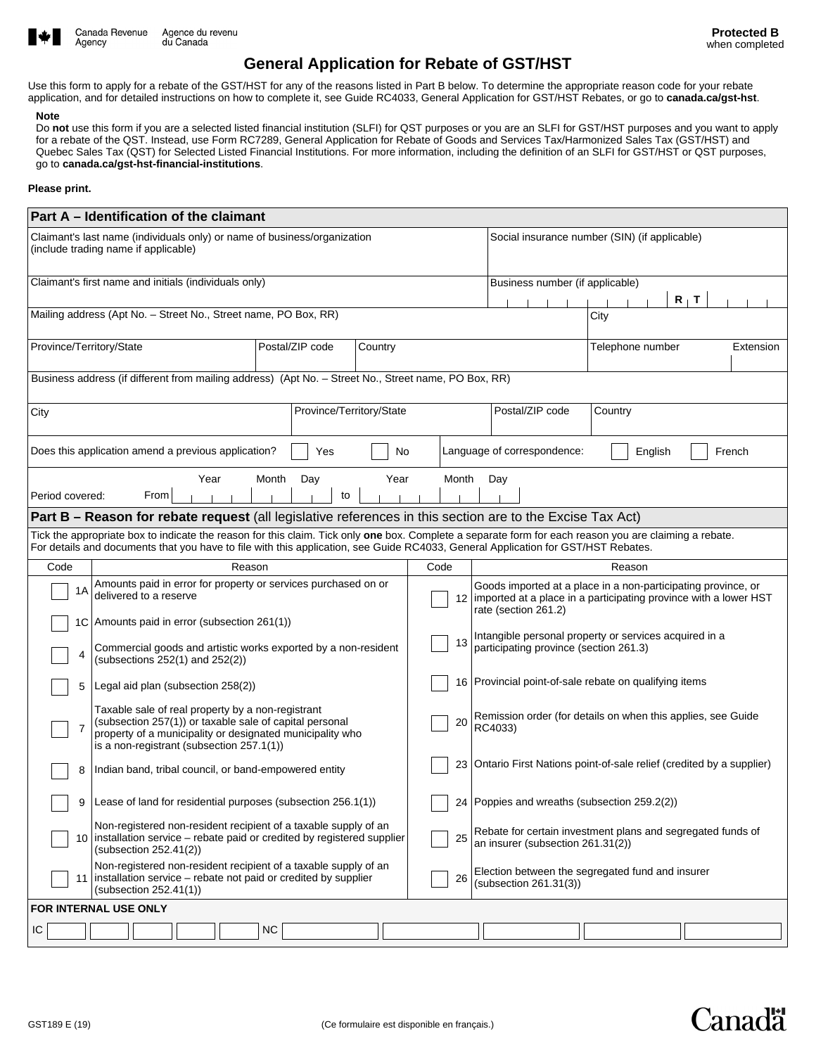

Agency

# **General Application for Rebate of GST/HST**

Use this form to apply for a rebate of the GST/HST for any of the reasons listed in Part B below. To determine the appropriate reason code for your rebate application, and for detailed instructions on how to complete it, see Guide RC4033, General Application for GST/HST Rebates, or go to **canada.ca/gst-hst**.

#### **Note**

Do **not** use this form if you are a selected listed financial institution (SLFI) for QST purposes or you are an SLFI for GST/HST purposes and you want to apply for a rebate of the QST. Instead, use Form RC7289, General Application for Rebate of Goods and Services Tax/Harmonized Sales Tax (GST/HST) and Quebec Sales Tax (QST) for Selected Listed Financial Institutions. For more information, including the definition of an SLFI for GST/HST or QST purposes, go to **canada.ca/gst-hst-financial-institutions**.

#### **Please print.**

| Part A - Identification of the claimant                                                                                                                                                                                                                                                     |                                                                                                                                                                                                                        |                            |                          |  |  |  |      |                                               |                                                                                                                                                                |                        |                                                  |  |  |  |  |
|---------------------------------------------------------------------------------------------------------------------------------------------------------------------------------------------------------------------------------------------------------------------------------------------|------------------------------------------------------------------------------------------------------------------------------------------------------------------------------------------------------------------------|----------------------------|--------------------------|--|--|--|------|-----------------------------------------------|----------------------------------------------------------------------------------------------------------------------------------------------------------------|------------------------|--------------------------------------------------|--|--|--|--|
| Claimant's last name (individuals only) or name of business/organization<br>(include trading name if applicable)                                                                                                                                                                            |                                                                                                                                                                                                                        |                            |                          |  |  |  |      | Social insurance number (SIN) (if applicable) |                                                                                                                                                                |                        |                                                  |  |  |  |  |
|                                                                                                                                                                                                                                                                                             |                                                                                                                                                                                                                        |                            |                          |  |  |  |      |                                               |                                                                                                                                                                |                        |                                                  |  |  |  |  |
| Claimant's first name and initials (individuals only)                                                                                                                                                                                                                                       |                                                                                                                                                                                                                        |                            |                          |  |  |  |      |                                               |                                                                                                                                                                |                        | Business number (if applicable)                  |  |  |  |  |
| Mailing address (Apt No. - Street No., Street name, PO Box, RR)                                                                                                                                                                                                                             |                                                                                                                                                                                                                        |                            |                          |  |  |  |      |                                               |                                                                                                                                                                |                        | $R_+T$                                           |  |  |  |  |
|                                                                                                                                                                                                                                                                                             |                                                                                                                                                                                                                        |                            |                          |  |  |  |      | City                                          |                                                                                                                                                                |                        |                                                  |  |  |  |  |
| Province/Territory/State                                                                                                                                                                                                                                                                    |                                                                                                                                                                                                                        | Postal/ZIP code<br>Country |                          |  |  |  |      | Telephone number<br>Extension                 |                                                                                                                                                                |                        |                                                  |  |  |  |  |
| Business address (if different from mailing address) (Apt No. - Street No., Street name, PO Box, RR)                                                                                                                                                                                        |                                                                                                                                                                                                                        |                            |                          |  |  |  |      |                                               |                                                                                                                                                                |                        |                                                  |  |  |  |  |
| City                                                                                                                                                                                                                                                                                        |                                                                                                                                                                                                                        |                            | Province/Territory/State |  |  |  |      |                                               | Postal/ZIP code<br>Country                                                                                                                                     |                        |                                                  |  |  |  |  |
| Does this application amend a previous application?<br>Language of correspondence:<br>Yes<br>No<br>English                                                                                                                                                                                  |                                                                                                                                                                                                                        |                            |                          |  |  |  |      |                                               | French                                                                                                                                                         |                        |                                                  |  |  |  |  |
| Period covered:                                                                                                                                                                                                                                                                             | Month<br>Year<br>Day<br>Year<br>Month<br>Day<br>From<br>to                                                                                                                                                             |                            |                          |  |  |  |      |                                               |                                                                                                                                                                |                        |                                                  |  |  |  |  |
|                                                                                                                                                                                                                                                                                             | <b>Part B - Reason for rebate request</b> (all legislative references in this section are to the Excise Tax Act)                                                                                                       |                            |                          |  |  |  |      |                                               |                                                                                                                                                                |                        |                                                  |  |  |  |  |
|                                                                                                                                                                                                                                                                                             |                                                                                                                                                                                                                        |                            |                          |  |  |  |      |                                               |                                                                                                                                                                |                        |                                                  |  |  |  |  |
| Tick the appropriate box to indicate the reason for this claim. Tick only one box. Complete a separate form for each reason you are claiming a rebate.<br>For details and documents that you have to file with this application, see Guide RC4033, General Application for GST/HST Rebates. |                                                                                                                                                                                                                        |                            |                          |  |  |  |      |                                               |                                                                                                                                                                |                        |                                                  |  |  |  |  |
| Code                                                                                                                                                                                                                                                                                        |                                                                                                                                                                                                                        |                            | Reason                   |  |  |  | Code |                                               | Reason                                                                                                                                                         |                        |                                                  |  |  |  |  |
| 1A                                                                                                                                                                                                                                                                                          | Amounts paid in error for property or services purchased on or<br>delivered to a reserve                                                                                                                               |                            |                          |  |  |  |      |                                               | Goods imported at a place in a non-participating province, or<br>12   imported at a place in a participating province with a lower HST<br>rate (section 261.2) |                        |                                                  |  |  |  |  |
|                                                                                                                                                                                                                                                                                             | 1C   Amounts paid in error (subsection 261(1))                                                                                                                                                                         |                            |                          |  |  |  |      |                                               |                                                                                                                                                                |                        |                                                  |  |  |  |  |
| 4                                                                                                                                                                                                                                                                                           | Commercial goods and artistic works exported by a non-resident<br>(subsections $252(1)$ and $252(2)$ )                                                                                                                 |                            |                          |  |  |  |      | 13                                            | Intangible personal property or services acquired in a<br>participating province (section 261.3)                                                               |                        |                                                  |  |  |  |  |
| 5                                                                                                                                                                                                                                                                                           | Legal aid plan (subsection 258(2))                                                                                                                                                                                     |                            |                          |  |  |  |      |                                               | 16 Provincial point-of-sale rebate on qualifying items                                                                                                         |                        |                                                  |  |  |  |  |
| 7                                                                                                                                                                                                                                                                                           | Taxable sale of real property by a non-registrant<br>(subsection 257(1)) or taxable sale of capital personal<br>property of a municipality or designated municipality who<br>is a non-registrant (subsection 257.1(1)) |                            |                          |  |  |  |      | 20                                            | Remission order (for details on when this applies, see Guide<br>RC4033)                                                                                        |                        |                                                  |  |  |  |  |
| 8                                                                                                                                                                                                                                                                                           | Indian band, tribal council, or band-empowered entity                                                                                                                                                                  |                            |                          |  |  |  |      |                                               | 23 Ontario First Nations point-of-sale relief (credited by a supplier)                                                                                         |                        |                                                  |  |  |  |  |
| 9                                                                                                                                                                                                                                                                                           | Lease of land for residential purposes (subsection 256.1(1))                                                                                                                                                           |                            |                          |  |  |  |      |                                               | 24 Poppies and wreaths (subsection 259.2(2))                                                                                                                   |                        |                                                  |  |  |  |  |
|                                                                                                                                                                                                                                                                                             | Non-registered non-resident recipient of a taxable supply of an<br>10 installation service – rebate paid or credited by registered supplier<br>(subsection 252.41(2))                                                  |                            |                          |  |  |  |      | 25                                            | Rebate for certain investment plans and segregated funds of<br>an insurer (subsection 261.31(2))                                                               |                        |                                                  |  |  |  |  |
| Non-registered non-resident recipient of a taxable supply of an<br>installation service – rebate not paid or credited by supplier<br>11  <br>(subsection 252.41(1))                                                                                                                         |                                                                                                                                                                                                                        |                            |                          |  |  |  |      | 26                                            |                                                                                                                                                                | (subsection 261.31(3)) | Election between the segregated fund and insurer |  |  |  |  |
| FOR INTERNAL USE ONLY                                                                                                                                                                                                                                                                       |                                                                                                                                                                                                                        |                            |                          |  |  |  |      |                                               |                                                                                                                                                                |                        |                                                  |  |  |  |  |
| IC                                                                                                                                                                                                                                                                                          |                                                                                                                                                                                                                        |                            | NC.                      |  |  |  |      |                                               |                                                                                                                                                                |                        |                                                  |  |  |  |  |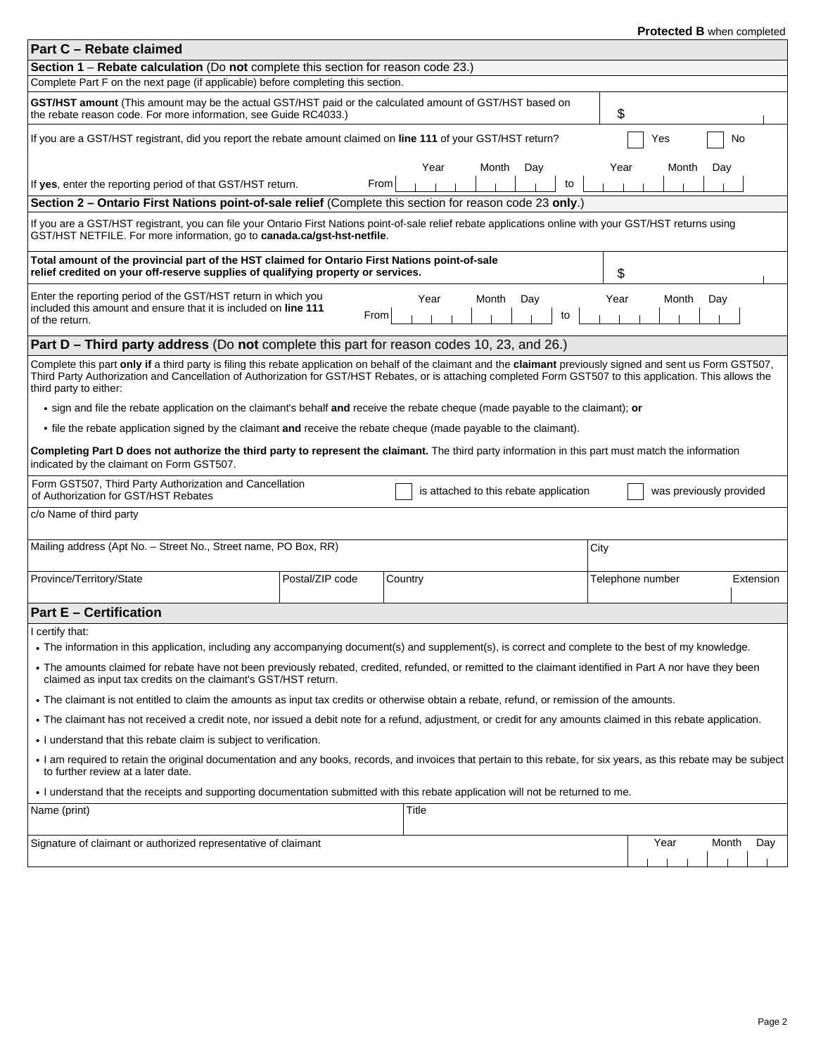## **Protected B** when completed

| Part C - Rebate claimed                                                                                                                                                                                                                                                                                                                                                                                  |                                                |                            |      | LI <b>nderlea D</b> mileli collibielea |       |           |  |  |  |  |
|----------------------------------------------------------------------------------------------------------------------------------------------------------------------------------------------------------------------------------------------------------------------------------------------------------------------------------------------------------------------------------------------------------|------------------------------------------------|----------------------------|------|----------------------------------------|-------|-----------|--|--|--|--|
| <b>Section 1 – Rebate calculation</b> (Do not complete this section for reason code 23.)                                                                                                                                                                                                                                                                                                                 |                                                |                            |      |                                        |       |           |  |  |  |  |
| Complete Part F on the next page (if applicable) before completing this section.                                                                                                                                                                                                                                                                                                                         |                                                |                            |      |                                        |       |           |  |  |  |  |
| GST/HST amount (This amount may be the actual GST/HST paid or the calculated amount of GST/HST based on<br>the rebate reason code. For more information, see Guide RC4033.)                                                                                                                                                                                                                              |                                                |                            | \$   |                                        |       |           |  |  |  |  |
| If you are a GST/HST registrant, did you report the rebate amount claimed on line 111 of your GST/HST return?<br>Yes<br>No                                                                                                                                                                                                                                                                               |                                                |                            |      |                                        |       |           |  |  |  |  |
| If yes, enter the reporting period of that GST/HST return.                                                                                                                                                                                                                                                                                                                                               | From                                           | Year<br>Month<br>Day<br>to | Year | Month                                  | Day   |           |  |  |  |  |
| Section 2 - Ontario First Nations point-of-sale relief (Complete this section for reason code 23 only.)                                                                                                                                                                                                                                                                                                  |                                                |                            |      |                                        |       |           |  |  |  |  |
| If you are a GST/HST registrant, you can file your Ontario First Nations point-of-sale relief rebate applications online with your GST/HST returns using<br>GST/HST NETFILE. For more information, go to canada.ca/gst-hst-netfile.                                                                                                                                                                      |                                                |                            |      |                                        |       |           |  |  |  |  |
| Total amount of the provincial part of the HST claimed for Ontario First Nations point-of-sale<br>relief credited on your off-reserve supplies of qualifying property or services.                                                                                                                                                                                                                       |                                                |                            | \$   |                                        |       |           |  |  |  |  |
| Enter the reporting period of the GST/HST return in which you<br>included this amount and ensure that it is included on line 111<br>of the return.                                                                                                                                                                                                                                                       | From                                           | Month<br>Day<br>Year<br>to | Year | Month                                  | Day   |           |  |  |  |  |
| <b>Part D – Third party address</b> (Do not complete this part for reason codes 10, 23, and 26.)                                                                                                                                                                                                                                                                                                         |                                                |                            |      |                                        |       |           |  |  |  |  |
| Complete this part only if a third party is filing this rebate application on behalf of the claimant and the claimant previously signed and sent us Form GST507,<br>Third Party Authorization and Cancellation of Authorization for GST/HST Rebates, or is attaching completed Form GST507 to this application. This allows the<br>third party to either:                                                |                                                |                            |      |                                        |       |           |  |  |  |  |
| • sign and file the rebate application on the claimant's behalf and receive the rebate cheque (made payable to the claimant); or                                                                                                                                                                                                                                                                         |                                                |                            |      |                                        |       |           |  |  |  |  |
| • file the rebate application signed by the claimant and receive the rebate cheque (made payable to the claimant).                                                                                                                                                                                                                                                                                       |                                                |                            |      |                                        |       |           |  |  |  |  |
| Completing Part D does not authorize the third party to represent the claimant. The third party information in this part must match the information<br>indicated by the claimant on Form GST507.                                                                                                                                                                                                         |                                                |                            |      |                                        |       |           |  |  |  |  |
| Form GST507, Third Party Authorization and Cancellation<br>is attached to this rebate application<br>was previously provided<br>of Authorization for GST/HST Rebates                                                                                                                                                                                                                                     |                                                |                            |      |                                        |       |           |  |  |  |  |
| c/o Name of third party                                                                                                                                                                                                                                                                                                                                                                                  |                                                |                            |      |                                        |       |           |  |  |  |  |
| Mailing address (Apt No. - Street No., Street name, PO Box, RR)                                                                                                                                                                                                                                                                                                                                          |                                                |                            | City |                                        |       |           |  |  |  |  |
| Province/Territory/State                                                                                                                                                                                                                                                                                                                                                                                 | Postal/ZIP code<br>Country<br>Telephone number |                            |      |                                        |       | Extension |  |  |  |  |
| <b>Part E - Certification</b>                                                                                                                                                                                                                                                                                                                                                                            |                                                |                            |      |                                        |       |           |  |  |  |  |
| l certify that:<br>• The information in this application, including any accompanying document(s) and supplement(s), is correct and complete to the best of my knowledge.<br>• The amounts claimed for rebate have not been previously rebated, credited, refunded, or remitted to the claimant identified in Part A nor have they been<br>claimed as input tax credits on the claimant's GST/HST return. |                                                |                            |      |                                        |       |           |  |  |  |  |
| • The claimant is not entitled to claim the amounts as input tax credits or otherwise obtain a rebate, refund, or remission of the amounts.                                                                                                                                                                                                                                                              |                                                |                            |      |                                        |       |           |  |  |  |  |
| • The claimant has not received a credit note, nor issued a debit note for a refund, adjustment, or credit for any amounts claimed in this rebate application.                                                                                                                                                                                                                                           |                                                |                            |      |                                        |       |           |  |  |  |  |
| . I understand that this rebate claim is subject to verification.                                                                                                                                                                                                                                                                                                                                        |                                                |                            |      |                                        |       |           |  |  |  |  |
| • I am required to retain the original documentation and any books, records, and invoices that pertain to this rebate, for six years, as this rebate may be subject<br>to further review at a later date.                                                                                                                                                                                                |                                                |                            |      |                                        |       |           |  |  |  |  |
| . I understand that the receipts and supporting documentation submitted with this rebate application will not be returned to me.                                                                                                                                                                                                                                                                         |                                                |                            |      |                                        |       |           |  |  |  |  |
| Name (print)                                                                                                                                                                                                                                                                                                                                                                                             |                                                | Title                      |      |                                        |       |           |  |  |  |  |
| Signature of claimant or authorized representative of claimant                                                                                                                                                                                                                                                                                                                                           |                                                |                            |      | Year                                   | Month | Day       |  |  |  |  |
|                                                                                                                                                                                                                                                                                                                                                                                                          |                                                |                            |      |                                        |       |           |  |  |  |  |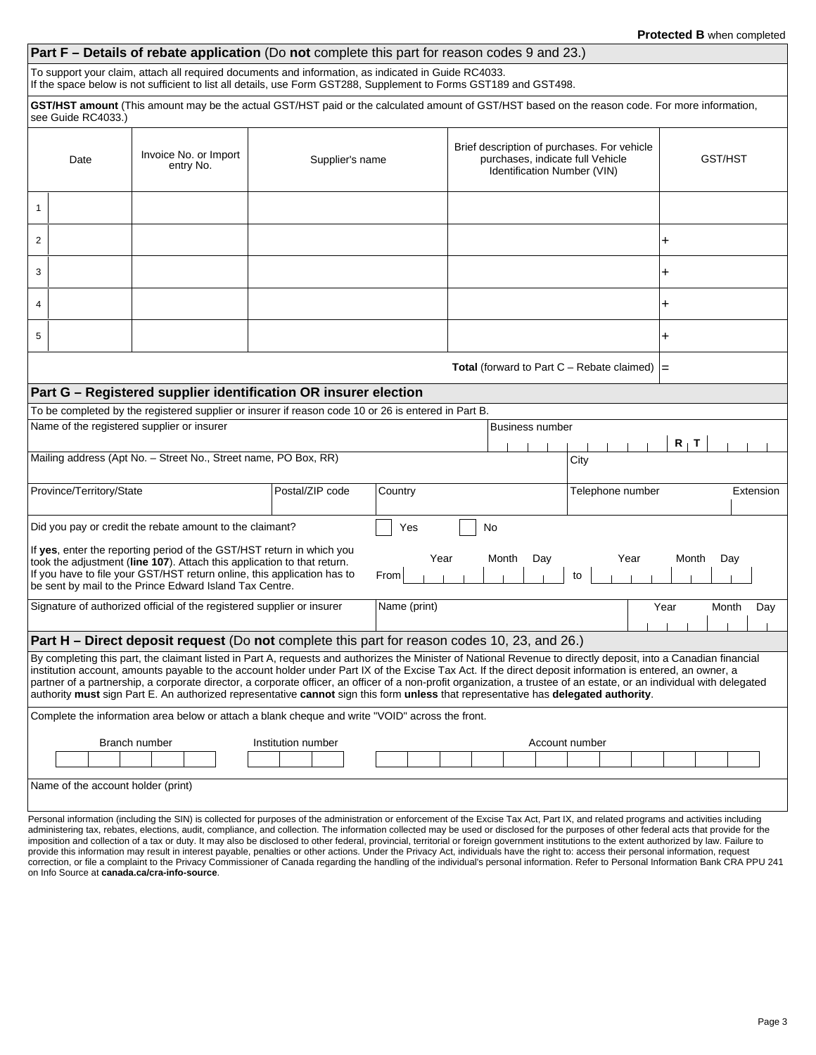|                                                                                                                                                                                                                                                                                                                                                                                                                                                                          |                                                                                                                                                                                                                          |                                                                       | <b>Part F - Details of rebate application</b> (Do not complete this part for reason codes 9 and 23.)                                                            |      |      |                                                   |                                                                                 |     | <b>ICOLCU D</b> WITCH COMPICIOS |           |  |  |
|--------------------------------------------------------------------------------------------------------------------------------------------------------------------------------------------------------------------------------------------------------------------------------------------------------------------------------------------------------------------------------------------------------------------------------------------------------------------------|--------------------------------------------------------------------------------------------------------------------------------------------------------------------------------------------------------------------------|-----------------------------------------------------------------------|-----------------------------------------------------------------------------------------------------------------------------------------------------------------|------|------|---------------------------------------------------|---------------------------------------------------------------------------------|-----|---------------------------------|-----------|--|--|
|                                                                                                                                                                                                                                                                                                                                                                                                                                                                          |                                                                                                                                                                                                                          |                                                                       |                                                                                                                                                                 |      |      |                                                   |                                                                                 |     |                                 |           |  |  |
|                                                                                                                                                                                                                                                                                                                                                                                                                                                                          | To support your claim, attach all required documents and information, as indicated in Guide RC4033.<br>If the space below is not sufficient to list all details, use Form GST288, Supplement to Forms GST189 and GST498. |                                                                       |                                                                                                                                                                 |      |      |                                                   |                                                                                 |     |                                 |           |  |  |
|                                                                                                                                                                                                                                                                                                                                                                                                                                                                          | see Guide RC4033.)                                                                                                                                                                                                       |                                                                       | GST/HST amount (This amount may be the actual GST/HST paid or the calculated amount of GST/HST based on the reason code. For more information,                  |      |      |                                                   |                                                                                 |     |                                 |           |  |  |
| Invoice No. or Import<br>Date                                                                                                                                                                                                                                                                                                                                                                                                                                            |                                                                                                                                                                                                                          |                                                                       | Supplier's name                                                                                                                                                 |      |      |                                                   | Brief description of purchases. For vehicle<br>purchases, indicate full Vehicle |     | <b>GST/HST</b>                  |           |  |  |
| entry No.                                                                                                                                                                                                                                                                                                                                                                                                                                                                |                                                                                                                                                                                                                          |                                                                       |                                                                                                                                                                 |      |      | Identification Number (VIN)                       |                                                                                 |     |                                 |           |  |  |
| 1                                                                                                                                                                                                                                                                                                                                                                                                                                                                        |                                                                                                                                                                                                                          |                                                                       |                                                                                                                                                                 |      |      |                                                   |                                                                                 |     |                                 |           |  |  |
| $\overline{2}$                                                                                                                                                                                                                                                                                                                                                                                                                                                           |                                                                                                                                                                                                                          |                                                                       |                                                                                                                                                                 |      |      |                                                   |                                                                                 | +   |                                 |           |  |  |
| 3                                                                                                                                                                                                                                                                                                                                                                                                                                                                        |                                                                                                                                                                                                                          |                                                                       |                                                                                                                                                                 |      |      |                                                   |                                                                                 |     |                                 |           |  |  |
| 4                                                                                                                                                                                                                                                                                                                                                                                                                                                                        |                                                                                                                                                                                                                          |                                                                       |                                                                                                                                                                 |      |      |                                                   |                                                                                 |     |                                 |           |  |  |
| 5                                                                                                                                                                                                                                                                                                                                                                                                                                                                        |                                                                                                                                                                                                                          |                                                                       |                                                                                                                                                                 |      |      |                                                   |                                                                                 |     |                                 |           |  |  |
|                                                                                                                                                                                                                                                                                                                                                                                                                                                                          |                                                                                                                                                                                                                          |                                                                       |                                                                                                                                                                 |      |      | <b>Total</b> (forward to Part C – Rebate claimed) |                                                                                 | $=$ |                                 |           |  |  |
|                                                                                                                                                                                                                                                                                                                                                                                                                                                                          |                                                                                                                                                                                                                          |                                                                       | Part G - Registered supplier identification OR insurer election                                                                                                 |      |      |                                                   |                                                                                 |     |                                 |           |  |  |
|                                                                                                                                                                                                                                                                                                                                                                                                                                                                          |                                                                                                                                                                                                                          |                                                                       | To be completed by the registered supplier or insurer if reason code 10 or 26 is entered in Part B.                                                             |      |      |                                                   |                                                                                 |     |                                 |           |  |  |
|                                                                                                                                                                                                                                                                                                                                                                                                                                                                          | Name of the registered supplier or insurer<br><b>Business number</b>                                                                                                                                                     |                                                                       |                                                                                                                                                                 |      |      |                                                   |                                                                                 |     |                                 |           |  |  |
| Mailing address (Apt No. - Street No., Street name, PO Box, RR)<br>City                                                                                                                                                                                                                                                                                                                                                                                                  |                                                                                                                                                                                                                          |                                                                       |                                                                                                                                                                 |      |      |                                                   | $R_1$ T                                                                         |     |                                 |           |  |  |
|                                                                                                                                                                                                                                                                                                                                                                                                                                                                          | Province/Territory/State                                                                                                                                                                                                 |                                                                       | Country                                                                                                                                                         |      |      | Telephone number                                  |                                                                                 |     |                                 | Extension |  |  |
|                                                                                                                                                                                                                                                                                                                                                                                                                                                                          |                                                                                                                                                                                                                          |                                                                       |                                                                                                                                                                 |      |      |                                                   |                                                                                 |     |                                 |           |  |  |
|                                                                                                                                                                                                                                                                                                                                                                                                                                                                          |                                                                                                                                                                                                                          | Did you pay or credit the rebate amount to the claimant?              |                                                                                                                                                                 | Yes  |      | No                                                |                                                                                 |     |                                 |           |  |  |
|                                                                                                                                                                                                                                                                                                                                                                                                                                                                          |                                                                                                                                                                                                                          | If yes, enter the reporting period of the GST/HST return in which you |                                                                                                                                                                 | Year |      |                                                   |                                                                                 |     |                                 |           |  |  |
| took the adjustment (line 107). Attach this application to that return.<br>If you have to file your GST/HST return online, this application has to<br>From                                                                                                                                                                                                                                                                                                               |                                                                                                                                                                                                                          |                                                                       |                                                                                                                                                                 |      |      | Month<br>Day                                      | Year<br>to                                                                      |     | Month                           | Day       |  |  |
|                                                                                                                                                                                                                                                                                                                                                                                                                                                                          |                                                                                                                                                                                                                          | be sent by mail to the Prince Edward Island Tax Centre.               |                                                                                                                                                                 |      |      |                                                   |                                                                                 |     |                                 |           |  |  |
| Signature of authorized official of the registered supplier or insurer<br>Name (print)                                                                                                                                                                                                                                                                                                                                                                                   |                                                                                                                                                                                                                          |                                                                       |                                                                                                                                                                 |      | Year |                                                   | Month                                                                           | Day |                                 |           |  |  |
| <b>Part H – Direct deposit request (Do not complete this part for reason codes 10, 23, and 26.)</b>                                                                                                                                                                                                                                                                                                                                                                      |                                                                                                                                                                                                                          |                                                                       |                                                                                                                                                                 |      |      |                                                   |                                                                                 |     |                                 |           |  |  |
|                                                                                                                                                                                                                                                                                                                                                                                                                                                                          |                                                                                                                                                                                                                          |                                                                       | By completing this part, the claimant listed in Part A, requests and authorizes the Minister of National Revenue to directly deposit, into a Canadian financial |      |      |                                                   |                                                                                 |     |                                 |           |  |  |
| institution account, amounts payable to the account holder under Part IX of the Excise Tax Act. If the direct deposit information is entered, an owner, a<br>partner of a partnership, a corporate director, a corporate officer, an officer of a non-profit organization, a trustee of an estate, or an individual with delegated<br>authority must sign Part E. An authorized representative cannot sign this form unless that representative has delegated authority. |                                                                                                                                                                                                                          |                                                                       |                                                                                                                                                                 |      |      |                                                   |                                                                                 |     |                                 |           |  |  |
| Complete the information area below or attach a blank cheque and write "VOID" across the front.                                                                                                                                                                                                                                                                                                                                                                          |                                                                                                                                                                                                                          |                                                                       |                                                                                                                                                                 |      |      |                                                   |                                                                                 |     |                                 |           |  |  |
| Branch number<br>Institution number<br>Account number                                                                                                                                                                                                                                                                                                                                                                                                                    |                                                                                                                                                                                                                          |                                                                       |                                                                                                                                                                 |      |      |                                                   |                                                                                 |     |                                 |           |  |  |
|                                                                                                                                                                                                                                                                                                                                                                                                                                                                          |                                                                                                                                                                                                                          |                                                                       |                                                                                                                                                                 |      |      |                                                   |                                                                                 |     |                                 |           |  |  |
|                                                                                                                                                                                                                                                                                                                                                                                                                                                                          | Name of the account holder (print)                                                                                                                                                                                       |                                                                       |                                                                                                                                                                 |      |      |                                                   |                                                                                 |     |                                 |           |  |  |
|                                                                                                                                                                                                                                                                                                                                                                                                                                                                          |                                                                                                                                                                                                                          |                                                                       |                                                                                                                                                                 |      |      |                                                   |                                                                                 |     |                                 |           |  |  |

Personal information (including the SIN) is collected for purposes of the administration or enforcement of the Excise Tax Act, Part IX, and related programs and activities including administering tax, rebates, elections, audit, compliance, and collection. The information collected may be used or disclosed for the purposes of other federal acts that provide for the imposition and collection of a tax or duty. It may also be disclosed to other federal, provincial, territorial or foreign government institutions to the extent authorized by law. Failure to provide this information may result in interest payable, penalties or other actions. Under the Privacy Act, individuals have the right to: access their personal information, request correction, or file a complaint to the Privacy Commissioner of Canada regarding the handling of the individual's personal information. Refer to Personal Information Bank CRA PPU 241 on Info Source at **canada.ca/cra-info-source**.